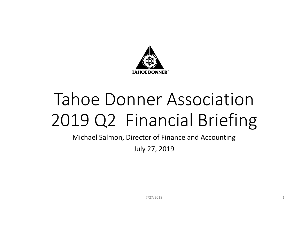

# Tahoe Donner Association2019 Q2 Financial Briefing

Michael Salmon, Director of Finance and Accounting

July 27, 2019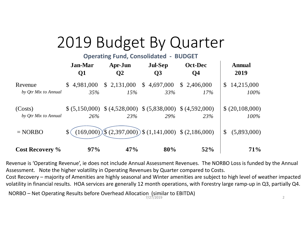# 2019 Budget By Quarter

**Operating Fund, Consolidated ‐ BUDGET**

|                                        | <b>Jan-Mar</b><br>Q1  | Apr-Jun<br>$\mathbf{Q}$ | <b>Jul-Sep</b><br>Q <sub>3</sub>                 | <b>Oct-Dec</b><br>Q <sub>4</sub> | Annual<br>2019                     |
|----------------------------------------|-----------------------|-------------------------|--------------------------------------------------|----------------------------------|------------------------------------|
| Revenue<br>by <i>Otr Mix to Annual</i> | \$4,981,000<br>35%    | \$2,131,000<br>15%      | \$4,697,000<br>33%                               | \$2,406,000<br>$17\%$            | 14,215,000<br>$\mathbb{S}$<br>100% |
| (Costs)<br>by <i>Otr Mix to Annual</i> | \$ (5,150,000)<br>26% | 23%                     | $(4,528,000)$ $(5,838,000)$ $(4,592,000)$<br>29% | 23%                              | \$ (20,108,000)<br>100%            |
| $= NORBO$                              | (169,000)             |                         | $$(2,397,000))$ $$(1,141,000)$ $$(2,186,000)$    |                                  | (5,893,000)<br>\$                  |
| <b>Cost Recovery %</b>                 | 97%                   | 47%                     | 80%                                              | 52%                              | 71%                                |

Revenue is 'Operating Revenue', ie does not include Annual Assessment Revenues. The NORBO Loss is funded by the Annual Assessment. Note the higher volatility in Operating Revenues by Quarter compared to Costs.

Cost Recovery – majority of Amenities are highly seasonal and Winter amenities are subject to high level of weather impacted volatility in financial results. HOA services are generally 12 month operations, with Forestry large ramp‐up in Q3, partially Q4.

NORBO – Net Operating Results before Overhead Allocation (similar to EBITDA)  $_{7/27/2019}$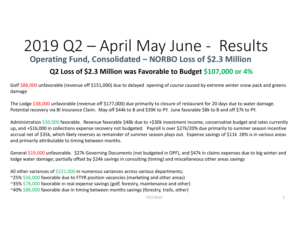## 2019 Q2 – April May June ‐ Results **Operating Fund, Consolidated – NORBO Loss of \$2.3 Million Q2 Loss of \$2.3 Million was Favorable to Budget \$107,000 or 4%**

Golf \$88,000 unfavorable (revenue off \$151,000) due to delayed opening of course caused by extreme winter snow pack and greens damage

The Lodge \$38,000 unfavorable (revenue off \$177,000) due primarily to closure of restaurant for 20 days due to water damage. Potential recovery via BI Insurance Claim. May off \$44k to <sup>B</sup> and \$39K to PY. June favorable \$8k to <sup>B</sup> and off \$7k to PY.

Administration \$30,000 favorable. Revenue favorable \$48k due to +\$30k investment income, conservative budget and rates currently up, and +\$16,000 in collections expense recovery not budgeted. Payroll is over \$27k/20% due primarily to summer season incentive accrual net of \$35k, which likely reverses as remainder of summer season plays out. Expense savings of \$11k 28% is in various areas and primarily attributable to timing between months.

General \$19,000 unfavorable. \$27k Governing Documents (not budgeted in OPF), and \$47k in claims expenses due to big winter and lodge water damage; partially offset by \$24k savings in consulting (timing) and miscellaneous other areas savings

All other variances of \$222,000 in numerous variances across various departments; ~25% \$56,000 favorable due to FTYR position vacancies (marketing and other areas) ~35% \$78,000 favorable in real expense savings (golf, forestry, maintenance and other) ~40% \$88,000 favorable due in timing between months savings (forestry, trails, other)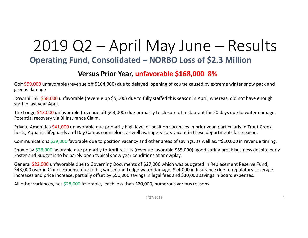## 2019 Q2 – April May June – Results **Operating Fund, Consolidated – NORBO Loss of \$2.3 Million**

### **Versus Prior Year, unfavorable \$168,000 8%**

Golf \$99,000 unfavorable (revenue off \$164,000) due to delayed opening of course caused by extreme winter snow pack and greens damage

Downhill Ski \$58,000 unfavorable (revenue up \$5,000) due to fully staffed this season in April, whereas, did not have enough staff in last year April.

The Lodge \$43,000 unfavorable (revenue off \$43,000) due primarily to closure of restaurant for 20 days due to water damage. Potential recovery via BI Insurance Claim.

Private Amenities \$41,000 unfavorable due primarily high level of position vacancies in prior year, particularly in Trout Creek hosts, Aquatics lifeguards and Day Camps counselors, as well as, supervisors vacant in these departments last season.

Communications \$39,000 favorable due to position vacancy and other areas of savings, as well as, ~\$10,000 in revenue timing.

Snowplay \$28,000 favorable due primarily to April results (revenue favorable \$55,000), good spring break business despite early Easter and Budget is to be barely open typical snow year conditions at Snowplay.

General \$22,000 unfavorable due to Governing Documents of \$27,000 which was budgeted in Replacement Reserve Fund, \$43,000 over in Claims Expense due to big winter and Lodge water damage, \$24,000 in Insurance due to regulatory coverage increases and price increase, partially offset by \$50,000 savings in legal fees and \$30,000 savings in board expenses.

All other variances, net \$28,000 favorable, each less than \$20,000, numerous various reasons.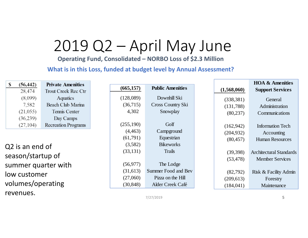# 2019 Q2 – April May June

**Operating Fund, Consolidated – NORBO Loss of \$2.3 Million**

**What is in this Loss, funded at budget level by Annual Assessment?**

| \$                          | (56, 442) | <b>Private Amenities</b>   |                     |            |                                |             | <b>HOA &amp; Amenities</b> |
|-----------------------------|-----------|----------------------------|---------------------|------------|--------------------------------|-------------|----------------------------|
|                             | 28,474    | <b>Trout Creek Rec Ctr</b> |                     | (665, 157) | <b>Public Amenities</b>        | (1,568,060) | <b>Support Services</b>    |
|                             | (8,099)   | Aquatics                   |                     | (128,089)  | Downhill Ski                   | (338, 381)  | General                    |
|                             | 7,582     | <b>Beach Club Marina</b>   |                     | (36,715)   | Cross Country Ski              | (131,788)   | Administration             |
|                             | (21, 055) | <b>Tennis Center</b>       |                     | 4,302      | Snowplay                       | (80, 237)   | Communications             |
|                             | (36,239)  | Day Camps                  |                     |            |                                |             |                            |
|                             | (27, 104) | <b>Recreation Programs</b> |                     | (255,190)  | Golf                           | (162, 942)  | <b>Information Tech</b>    |
|                             |           |                            |                     | (4, 463)   | Campground                     | (204, 932)  | Accounting                 |
|                             |           | (61,791)                   | Equestrian          | (80, 457)  | <b>Human Resources</b>         |             |                            |
| Q <sub>2</sub> is an end of |           | (3,582)                    | <b>Bikeworks</b>    |            |                                |             |                            |
|                             |           | (33, 131)                  | <b>Trails</b>       | (39, 398)  | <b>Architectural Standards</b> |             |                            |
| season/startup of           |           |                            |                     | (53, 478)  | <b>Member Services</b>         |             |                            |
| summer quarter with         |           | (56, 977)                  | The Lodge           |            |                                |             |                            |
| low customer                |           | (31,613)                   | Summer Food and Bev | (82,792)   | Risk & Facility Admin          |             |                            |
|                             |           | (27,060)                   | Pizza on the Hill   | (209, 613) | Forestry                       |             |                            |
| volumes/operating           |           | (30, 848)                  | Alder Creek Café    | (184, 041) | Maintenance                    |             |                            |

7/27/2019 **5**

revenues.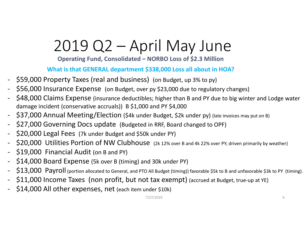# 2019 Q2 – April May June

**Operating Fund, Consolidated – NORBO Loss of \$2.3 Million**

**What is that GENERAL department \$338,000 Loss all about in HOA?**

- \$59,000 Property Taxes (real and business) (on Budget, up 3% to py)
- \$56,000 Insurance Expense (on Budget, over py \$23,000 due to regulatory changes)
- \$48,000 Claims Expense (insurance deductibles; higher than <sup>B</sup> and PY due to big winter and Lodge water damage incident (conservative accruals)) <sup>B</sup> \$1,000 and PY \$4,000
- \$37,000 Annual Meeting/Election (\$4k under Budget, \$2k under py) (late invoices may put on B)
- ‐ \$27,000 Governing Docs update (Budgeted in RRF, Board changed to OPF)
- \$20,000 Legal Fees (7k under Budget and \$50k under PY)
- \$20,000 Utilities Portion of NW Clubhouse (2k 12% over B and 4k 22% over PY; driven primarily by weather)
- \$19,000 Financial Audit (on <sup>B</sup> and PY)
- \$14,000 Board Expense (5k over <sup>B</sup> (timing) and 30k under PY)
- \$13,000 Payroll (portion allocated to General, and PTO All Budget (timing)) favorable \$5k to B and unfavorable \$3k to PY (timing).
- \$11,000 Income Taxes (non profit, but not tax exempt) (accrued at Budget, true-up at YE)
- ‐ \$14,000 All other expenses, net (each item under \$10k)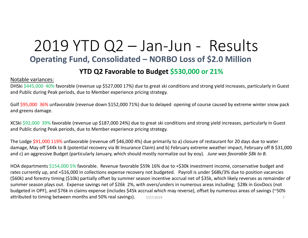## 2019 YTD Q2 – Jan‐Jun ‐ Results **Operating Fund, Consolidated – NORBO Loss of \$2.0 Million**

#### **YTD Q2 Favorable to Budget \$530,000 or 21%**

#### Notable variances:

DHSki \$445,000 40% favorable (revenue up \$527,000 17%) due to great ski conditions and strong yield increases, particularly in Guest and Public during Peak periods, due to Member experience pricing strategy.

Golf \$95,000 36% unfavorable (revenue down \$152,000 71%) due to delayed opening of course caused by extreme winter snow pack and greens damage.

XCSki \$92,000 39% favorable (revenue up \$187,000 24%) due to great ski conditions and strong yield increases, particularly in Guest and Public during Peak periods, due to Member experience pricing strategy.

The Lodge \$91,000 119% unfavorable (revenue off \$46,000 4%) due primarily to a) closure of restaurant for 20 days due to water damage, May off \$44k to <sup>B</sup> (potential recovery via BI Insurance Claim) and b) February extreme weather impact, February off <sup>B</sup> \$31,000 and c) an aggressive Budget (particularly January, which should mostly normalize out by eoy). *June was favorable \$8k to B.*

HOA departments \$154,000 5% favorable. Revenue favorable \$59k 16% due to +\$30k investment income, conservative budget and rates currently up, and +\$16,000 in collections expense recovery not budgeted. Payroll is under \$68k/3% due to position vacancies (\$60k) and forestry timing (\$10k) partially offset by summer season incentive accrual net of \$35k, which likely reverses as remainder of summer season plays out. Expense savings net of \$26k 2%, with overs/unders in numerous areas including; \$28k in GovDocs (not budgeted in OPF), and \$76k in claims expense (includes \$45k accrual which may reverse), offset by numerous areas of savings (~50% attributed to timing between months and 50% real savings).  $7/27/2019$   $7/27/2019$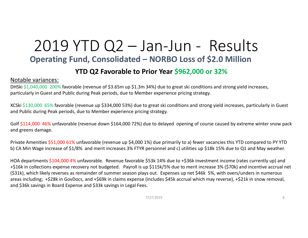# 2019 YTD Q2 – Jan‐Jun ‐ Results **Operating Fund, Consolidated – NORBO Loss of \$2.0 Million**

### **YTD Q2 Favorable to Prior Year \$962,000 or 32%**

#### Notable variances:

DHSki \$1,040,000 200% favorable (revenue of \$3.65m up \$1.3m 34%) due to great ski conditions and strong yield increases, particularly in Guest and Public during Peak periods, due to Member experience pricing strategy.

XCSki \$130,000 65% favorable (revenue up \$334,000 53%) due to great ski conditions and strong yield increases, particularly in Guest and Public during Peak periods, due to Member experience pricing strategy.

Golf \$114,000 46% unfavorable (revenue down \$164,000 72%) due to delayed opening of course caused by extreme winter snow pack and greens damage.

Private Amenities \$51,000 61% unfavorable (revenue up \$4,000 1%) due primarily to a) fewer vacancies this YTD compared to PY YTD b) CA Min Wage increase of \$1/8% and merit increases 3% FTYR personnel and c) utilities up \$18k 15% due to Q1 and May weather.

HOA departments \$104,000 4% unfavorable. Revenue favorable \$53k 14% due to +\$36k investment income (rates currently up) and +\$16k in collections expense recovery not budgeted. Payroll is up \$115k/5% due to merit increase 3% (\$70k) and incentive accrual net (\$31k), which likely reverses as remainder of summer season plays out. Expenses up net \$46k 5%, with overs/unders in numerous areas including; +\$28k in GovDocs, and +\$69k in claims expense (includes \$45k accrual which may reverse), +\$21k in snow removal, and \$36k savings in Board Expense and \$33k savings in Legal Fees.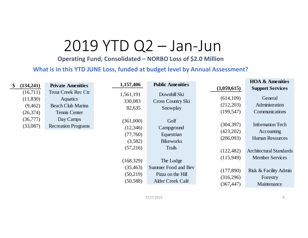# 2019 YTD Q2 – Jan‐Jun

**Operating Fund, Consolidated – NORBO Loss of \$2.0 Million**

#### **What is in this YTD JUNE Loss, funded at budget level by Annual Assessment?**

| (134,241)<br>$\mathbf{\$}$                   | <b>Private Amenities</b>                                                                   | 1,157,406                                                             | <b>Public Amenities</b>                                                            | (3,059,615)                                                     | <b>HOA &amp; Amenities</b><br><b>Support Services</b>                                                                       |
|----------------------------------------------|--------------------------------------------------------------------------------------------|-----------------------------------------------------------------------|------------------------------------------------------------------------------------|-----------------------------------------------------------------|-----------------------------------------------------------------------------------------------------------------------------|
| (16,711)<br>(11,830)<br>(9,462)<br>(26, 374) | <b>Trout Creek Rec Ctr</b><br><b>Aquatics</b><br><b>Beach Club Marina</b><br>Tennis Center | 1,561,191<br>330,083<br>82,635                                        | Downhill Ski<br>Cross Country Ski<br>Snowplay                                      | (614, 109)<br>(212,203)<br>(199, 547)                           | General<br>Administration<br>Communications                                                                                 |
| (36, 777)<br>(33,087)                        | Day Camps<br><b>Recreation Programs</b>                                                    | (361,000)<br>(12,346)<br>(77,760)<br>(3,582)<br>(57,216)<br>(168,329) | Golf<br>Campground<br>Equestrian<br><b>Bikeworks</b><br><b>Trails</b><br>The Lodge | (304, 397)<br>(423,202)<br>(206,093)<br>(122, 482)<br>(115,949) | <b>Information Tech</b><br>Accounting<br><b>Human Resources</b><br><b>Architectural Standards</b><br><b>Member Services</b> |
|                                              |                                                                                            | (35, 463)<br>(50,219)<br>(50, 588)                                    | Summer Food and Bev<br>Pizza on the Hill<br>Alder Creek Café                       | (177, 890)<br>(316,296)<br>(367, 447)                           | Risk & Facility Admin<br>Forestry<br>Maintenance                                                                            |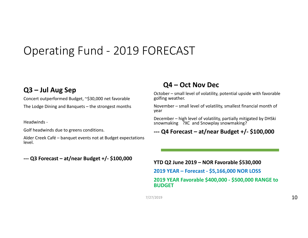## Operating Fund ‐ 2019 FORECAST

### **Q3 – Jul Aug Sep**

Concert outperformed Budget, ~\$30,000 net favorable The Lodge Dining and Banquets – the strongest months

Headwinds ‐

Golf headwinds due to greens conditions.

Alder Creek Café – banquet events not at Budget expectations level.

#### **‐‐‐ Q3 Forecast – at/near Budget +/‐ \$100,000**

### **Q4 – Oct Nov Dec**

October – small level of volatility, potential upside with favorable golfing weather.

November – small level of volatility, smallest financial month of year

December – high level of volatility, partially mitigated by DHSki snowmaking ?XC and Snowplay snowmaking?

#### **‐‐‐ Q4 Forecast – at/near Budget +/‐ \$100,000**

**YTD Q2 June 2019 – NOR Favorable \$530,000 2019 YEAR – Forecast ‐ \$5,166,000 NOR LOSS 2019 YEAR Favorable \$400,000 ‐ \$500,000 RANGE to BUDGET**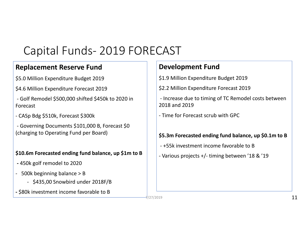# Capital Funds‐ 2019 FORECAST

## **Replacement Reserve Fund**

\$5.0 Million Expenditure Budget 2019

- \$4.6 Million Expenditure Forecast 2019
- ‐ Golf Remodel \$500,000 shifted \$450k to 2020 in Forecast
- ‐ CASp Bdg \$510k, Forecast \$300k

‐ Governing Documents \$101,000 B, Forecast \$0 (charging to Operating Fund per Board)

#### **\$10.6m Forecasted ending fund balance, up \$1m to <sup>B</sup>**

- **‐** 450k golf remodel to 2020
- ‐ 500k beginning balance <sup>&</sup>gt; B
	- ‐ \$435,00 Snowbird under 2018F/B
- **‐** \$80k investment income favorable to B

## **Development Fund**

\$1.9 Million Expenditure Budget 2019

\$2.2 Million Expenditure Forecast 2019

‐ Increase due to timing of TC Remodel costs between 2018 and 2019

‐ Time for Forecast scrub with GPC

#### **\$5.3m Forecasted ending fund balance, up \$0.1m to <sup>B</sup>**

‐ +55k investment income favorable to B

‐ Various projects +/‐ timing between '18 & '19

7/27/2019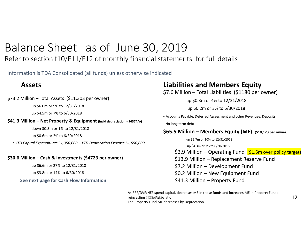## Balance Sheet as of June 30, 2019

Refer to section f10/F11/F12 of monthly financial statements for full details

Information is TDA Consolidated (all funds) unless otherwise indicated

### **Assets**

\$73.2 Million – Total Assets (\$11,303 per owner)

up \$6.0m or 9% to 12/31/2018

up \$4.5m or 7% to 6/30/2018

**\$41.3 Million – Net Property & Equipment (incld depreciation) (\$6374/o)**

down \$0.3m or 1% to 12/31/2018

up \$0.6m or 2% to 6/30/2018

*+ YTD Capital Expenditures \$1,356,000 ‐ YTD Deprecation Expense \$1,650,000*

#### **\$30.6 Million – Cash & Investments (\$4723 per owner)**

up \$6.6m or 27% to 12/31/2018

up \$3.8m or 14% to 6/30/2018

**See next page for Cash Flow Information**

## **Liabilities and Members Equity**

\$7.6 Million – Total Liabilities (\$1180 per owner)

up \$0.3m or 4% to 12/31/2018

up \$0.2m or 3% to 6/30/2018

‐ Accounts Payable, Deferred Assessment and other Revenues, Deposits

‐ No long term debt

#### **\$65.5 Million – Members Equity (ME) (\$10,123 per owner)**

up \$5.7m or 10% to 12/31/2018

up \$4.3m or 7% to 6/30/2018

\$2.9 Million – Operating Fund (\$1.5m over policy target)

\$13.9 Million – Replacement Reserve Fund

\$7.2 Million – Development Fund

\$0.2 Million – New Equipment Fund

\$41.3 Million – Property Fund

As RRF/DVF/NEF spend capital, decreases ME in those funds and increases ME in Property Fund; reinvesting in⁄ ፤ክe2Association. The Property Fund ME decreases by Deprecation.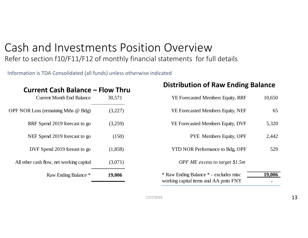## Cash and Investments Position OverviewRefer to section f10/F11/F12 of monthly financial statements for full details

Information is TDA Consolidated (all funds) unless otherwise indicated

| <b>Current Cash Balance – Flow Thru</b>    |         |  |  |  |  |
|--------------------------------------------|---------|--|--|--|--|
| <b>Current Month End Balance</b>           | 30,571  |  |  |  |  |
| <b>OPF NOR Loss (remaining Mths @ Bdg)</b> | (3,227) |  |  |  |  |
| RRF Spend 2019 forecast to go              | (3,259) |  |  |  |  |
| NEF Spend 2019 forecast to go              | (150)   |  |  |  |  |
| DVF Spend 2019 foreast to go               | (1,858) |  |  |  |  |
| All other cash flow, net working capital   | (3,071) |  |  |  |  |
| Raw Ending Balance *                       | 19,006  |  |  |  |  |

### **Distribution of Raw Ending Balance**

| <b>YE Forecasted Members Equity, RRF</b> | 10,650 |
|------------------------------------------|--------|
| YE Forecasted Members Equity, NEF        | 65     |
| <b>YE Forecasted Members Equity, DVF</b> | 5,320  |
| <b>PYE</b> Members Equity, OPF           | 2,442  |
| <b>YTD NOR Performance to Bdg, OPF</b>   | 529    |
| OPF ME excess to target \$1.5m           |        |
| * Raw Ending Balance * - excludes misc   | 19.00  |
| working capital items and AA pmts FNY    |        |